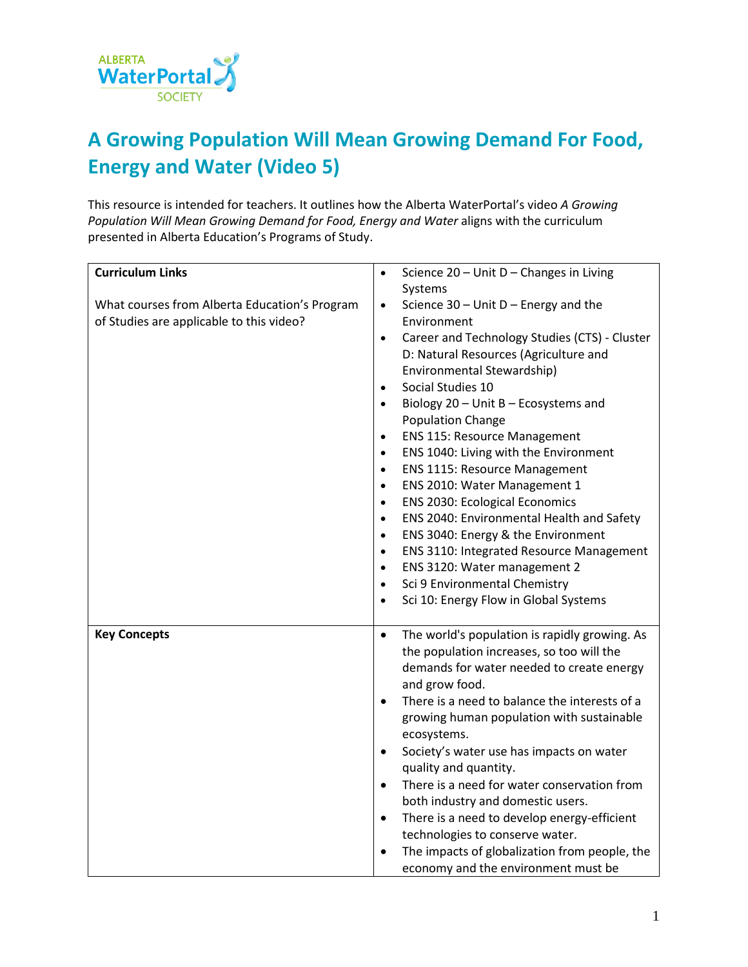

## **A Growing Population Will Mean Growing Demand For Food, Energy and Water (Video 5)**

This resource is intended for teachers. It outlines how the Alberta WaterPortal's video *A Growing Population Will Mean Growing Demand for Food, Energy and Water* aligns with the curriculum presented in Alberta Education's Programs of Study.

| <b>Curriculum Links</b>                       | Science 20 - Unit D - Changes in Living<br>$\bullet$       |
|-----------------------------------------------|------------------------------------------------------------|
|                                               | Systems                                                    |
| What courses from Alberta Education's Program | Science $30$ – Unit D – Energy and the<br>$\bullet$        |
| of Studies are applicable to this video?      | Environment                                                |
|                                               | Career and Technology Studies (CTS) - Cluster<br>$\bullet$ |
|                                               | D: Natural Resources (Agriculture and                      |
|                                               | Environmental Stewardship)                                 |
|                                               | Social Studies 10<br>$\bullet$                             |
|                                               | Biology 20 - Unit B - Ecosystems and<br>$\bullet$          |
|                                               | Population Change                                          |
|                                               | <b>ENS 115: Resource Management</b><br>$\bullet$           |
|                                               | ENS 1040: Living with the Environment<br>$\bullet$         |
|                                               | <b>ENS 1115: Resource Management</b><br>$\bullet$          |
|                                               | ENS 2010: Water Management 1<br>$\bullet$                  |
|                                               | <b>ENS 2030: Ecological Economics</b><br>$\bullet$         |
|                                               | ENS 2040: Environmental Health and Safety<br>$\bullet$     |
|                                               | ENS 3040: Energy & the Environment<br>$\bullet$            |
|                                               | ENS 3110: Integrated Resource Management<br>$\bullet$      |
|                                               | ENS 3120: Water management 2<br>$\bullet$                  |
|                                               | Sci 9 Environmental Chemistry<br>$\bullet$                 |
|                                               | Sci 10: Energy Flow in Global Systems<br>$\bullet$         |
|                                               |                                                            |
| <b>Key Concepts</b>                           | The world's population is rapidly growing. As<br>$\bullet$ |
|                                               | the population increases, so too will the                  |
|                                               | demands for water needed to create energy                  |
|                                               | and grow food.                                             |
|                                               | There is a need to balance the interests of a<br>$\bullet$ |
|                                               | growing human population with sustainable                  |
|                                               | ecosystems.                                                |
|                                               | Society's water use has impacts on water<br>$\bullet$      |
|                                               | quality and quantity.                                      |
|                                               | There is a need for water conservation from<br>$\bullet$   |
|                                               | both industry and domestic users.                          |
|                                               | There is a need to develop energy-efficient<br>$\bullet$   |
|                                               | technologies to conserve water.                            |
|                                               | The impacts of globalization from people, the<br>$\bullet$ |
|                                               | economy and the environment must be                        |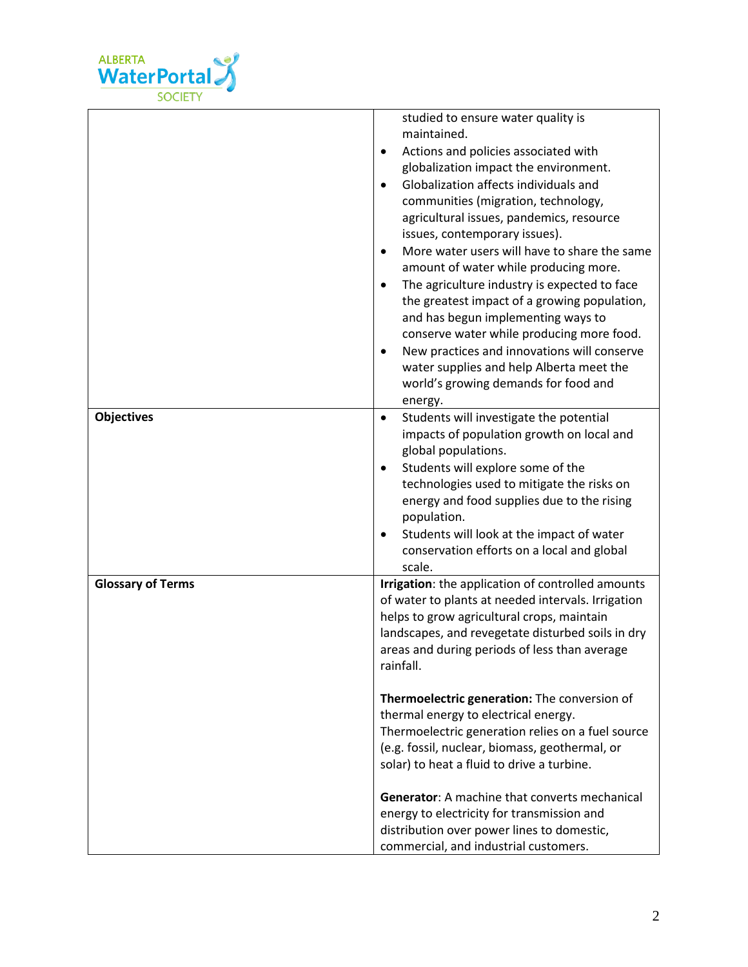

|                          | studied to ensure water quality is<br>maintained.<br>Actions and policies associated with<br>$\bullet$<br>globalization impact the environment.<br>Globalization affects individuals and<br>$\bullet$<br>communities (migration, technology,<br>agricultural issues, pandemics, resource<br>issues, contemporary issues).<br>More water users will have to share the same<br>$\bullet$<br>amount of water while producing more.<br>The agriculture industry is expected to face<br>$\bullet$<br>the greatest impact of a growing population,<br>and has begun implementing ways to<br>conserve water while producing more food.<br>New practices and innovations will conserve<br>$\bullet$<br>water supplies and help Alberta meet the |
|--------------------------|-----------------------------------------------------------------------------------------------------------------------------------------------------------------------------------------------------------------------------------------------------------------------------------------------------------------------------------------------------------------------------------------------------------------------------------------------------------------------------------------------------------------------------------------------------------------------------------------------------------------------------------------------------------------------------------------------------------------------------------------|
|                          | world's growing demands for food and<br>energy.                                                                                                                                                                                                                                                                                                                                                                                                                                                                                                                                                                                                                                                                                         |
| <b>Objectives</b>        | Students will investigate the potential<br>$\bullet$<br>impacts of population growth on local and<br>global populations.<br>Students will explore some of the<br>$\bullet$<br>technologies used to mitigate the risks on<br>energy and food supplies due to the rising<br>population.<br>Students will look at the impact of water<br>$\bullet$<br>conservation efforts on a local and global<br>scale.                                                                                                                                                                                                                                                                                                                                 |
| <b>Glossary of Terms</b> | Irrigation: the application of controlled amounts<br>of water to plants at needed intervals. Irrigation<br>helps to grow agricultural crops, maintain<br>landscapes, and revegetate disturbed soils in dry<br>areas and during periods of less than average<br>rainfall.                                                                                                                                                                                                                                                                                                                                                                                                                                                                |
|                          | Thermoelectric generation: The conversion of<br>thermal energy to electrical energy.<br>Thermoelectric generation relies on a fuel source<br>(e.g. fossil, nuclear, biomass, geothermal, or<br>solar) to heat a fluid to drive a turbine.                                                                                                                                                                                                                                                                                                                                                                                                                                                                                               |
|                          | <b>Generator:</b> A machine that converts mechanical<br>energy to electricity for transmission and<br>distribution over power lines to domestic,<br>commercial, and industrial customers.                                                                                                                                                                                                                                                                                                                                                                                                                                                                                                                                               |